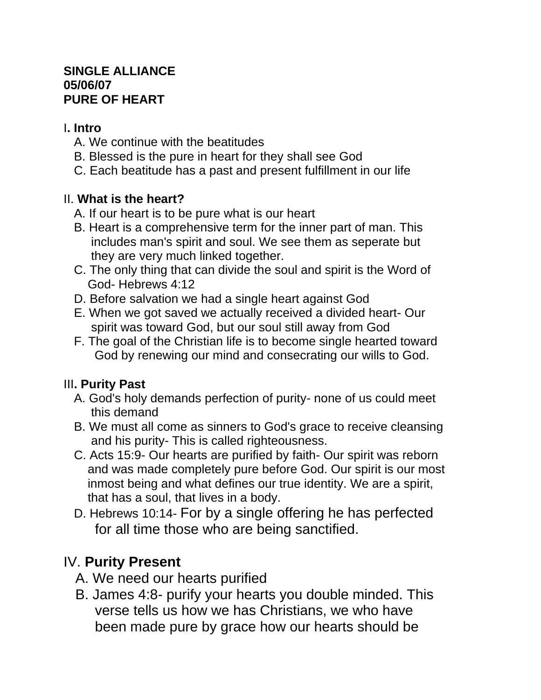#### **SINGLE ALLIANCE 05/06/07 PURE OF HEART**

#### I**. Intro**

- A. We continue with the beatitudes
- B. Blessed is the pure in heart for they shall see God
- C. Each beatitude has a past and present fulfillment in our life

## II. **What is the heart?**

- A. If our heart is to be pure what is our heart
- B. Heart is a comprehensive term for the inner part of man. This includes man's spirit and soul. We see them as seperate but they are very much linked together.
- C. The only thing that can divide the soul and spirit is the Word of God- Hebrews 4:12
- D. Before salvation we had a single heart against God
- E. When we got saved we actually received a divided heart- Our spirit was toward God, but our soul still away from God
- F. The goal of the Christian life is to become single hearted toward God by renewing our mind and consecrating our wills to God.

## III**. Purity Past**

- A. God's holy demands perfection of purity- none of us could meet this demand
- B. We must all come as sinners to God's grace to receive cleansing and his purity- This is called righteousness.
- C. Acts 15:9- Our hearts are purified by faith- Our spirit was reborn and was made completely pure before God. Our spirit is our most inmost being and what defines our true identity. We are a spirit, that has a soul, that lives in a body.
- D. Hebrews 10:14- For by a single offering he has perfected for all time those who are being sanctified.

# IV. **Purity Present**

- A. We need our hearts purified
- B. James 4:8- purify your hearts you double minded. This verse tells us how we has Christians, we who have been made pure by grace how our hearts should be